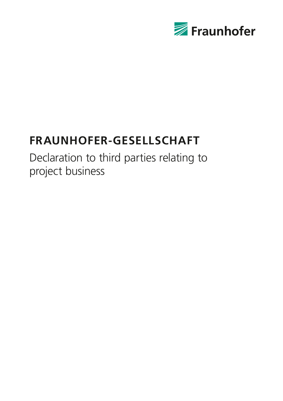

# **Fraunhofer-Gesellschaft**

Declaration to third parties relating to project business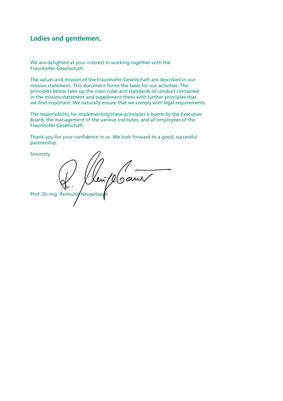## **Ladies and gentlemen,**

We are delighted at your interest in working together with the Fraunhofer-Gesellschaft.

The values and mission of the Fraunhofer-Gesellschaft are described in our mission statement. This document forms the basis for our activities. The principles below take up the main rules and standards of conduct contained in the mission statement and supplement them with further principles that we find important. We naturally ensure that we comply with legal requirements.

The responsibility for implementing these principles is borne by the Executive Board, the management of the various institutes, and all employees of the Fraunhofer-Gesellschaft.

Thank you for your confidence in us. We look forward to a good, successful partnership.

Sincerely, Prof. Dr.-Ing. Reimund Neugebau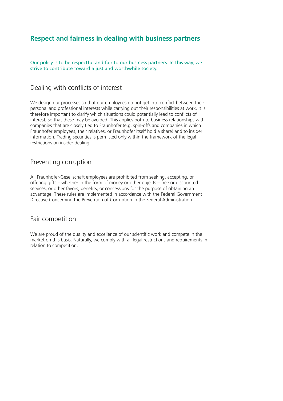## **Respect and fairness in dealing with business partners**

Our policy is to be respectful and fair to our business partners. In this way, we strive to contribute toward a just and worthwhile society.

#### Dealing with conflicts of interest

We design our processes so that our employees do not get into conflict between their personal and professional interests while carrying out their responsibilities at work. It is therefore important to clarify which situations could potentially lead to conflicts of interest, so that these may be avoided. This applies both to business relationships with companies that are closely tied to Fraunhofer (e.g. spin-offs and companies in which Fraunhofer employees, their relatives, or Fraunhofer itself hold a share) and to insider information. Trading securities is permitted only within the framework of the legal restrictions on insider dealing.

#### Preventing corruption

All Fraunhofer-Gesellschaft employees are prohibited from seeking, accepting, or offering gifts – whether in the form of money or other objects – free or discounted services, or other favors, benefits, or concessions for the purpose of obtaining an advantage. These rules are implemented in accordance with the Federal Government Directive Concerning the Prevention of Corruption in the Federal Administration.

#### Fair competition

We are proud of the quality and excellence of our scientific work and compete in the market on this basis. Naturally, we comply with all legal restrictions and requirements in relation to competition.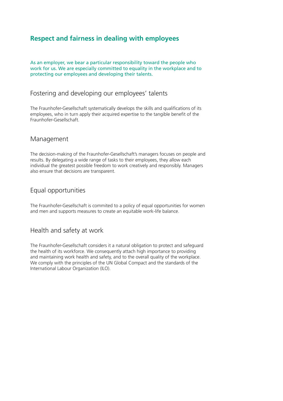# **Respect and fairness in dealing with employees**

As an employer, we bear a particular responsibility toward the people who work for us. We are especially committed to equality in the workplace and to protecting our employees and developing their talents.

#### Fostering and developing our employees' talents

The Fraunhofer-Gesellschaft systematically develops the skills and qualifications of its employees, who in turn apply their acquired expertise to the tangible benefit of the Fraunhofer-Gesellschaft.

#### Management

The decision-making of the Fraunhofer-Gesellschaft's managers focuses on people and results. By delegating a wide range of tasks to their employees, they allow each individual the greatest possible freedom to work creatively and responsibly. Managers also ensure that decisions are transparent.

### Equal opportunities

The Fraunhofer-Gesellschaft is commited to a policy of equal opportunities for women and men and supports measures to create an equitable work-life balance.

## Health and safety at work

The Fraunhofer-Gesellschaft considers it a natural obligation to protect and safeguard the health of its workforce. We consequently attach high importance to providing and maintaining work health and safety, and to the overall quality of the workplace. We comply with the principles of the UN Global Compact and the standards of the International Labour Organization (ILO).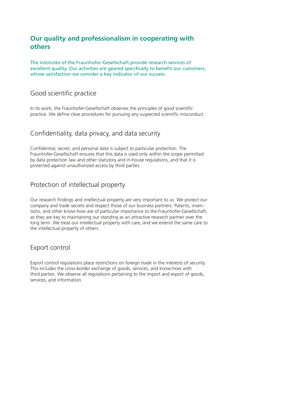# **Our quality and professionalism in cooperating with others**

The institutes of the Fraunhofer-Gesellschaft provide research services of excellent quality. Our activities are geared specifically to benefit our customers, whose satisfaction we consider a key indicator of our success.

#### Good scientific practice

In its work, the Fraunhofer-Gesellschaft observes the principles of good scientific practice. We define clear procedures for pursuing any suspected scientific misconduct.

#### Confidentiality, data privacy, and data security

Confidential, secret, and personal data is subject to particular protection. The Fraunhofer-Gesellschaft ensures that this data is used only within the scope permitted by data protection law and other statutory and in-house regulations, and that it is protected against unauthorized access by third parties.

## Protection of intellectual property

Our research findings and intellectual property are very important to us. We protect our company and trade secrets and respect those of our business partners. Patents, inventions, and other know-how are of particular importance to the Fraunhofer-Gesellschaft, as they are key to maintaining our standing as an attractive research partner over the long term. We treat our intellectual property with care, and we extend the same care to the intellectual property of others.

## Export control

Export control regulations place restrictions on foreign trade in the interests of security. This includes the cross-border exchange of goods, services, and know-how with third parties. We observe all regulations pertaining to the import and export of goods, services, and information.